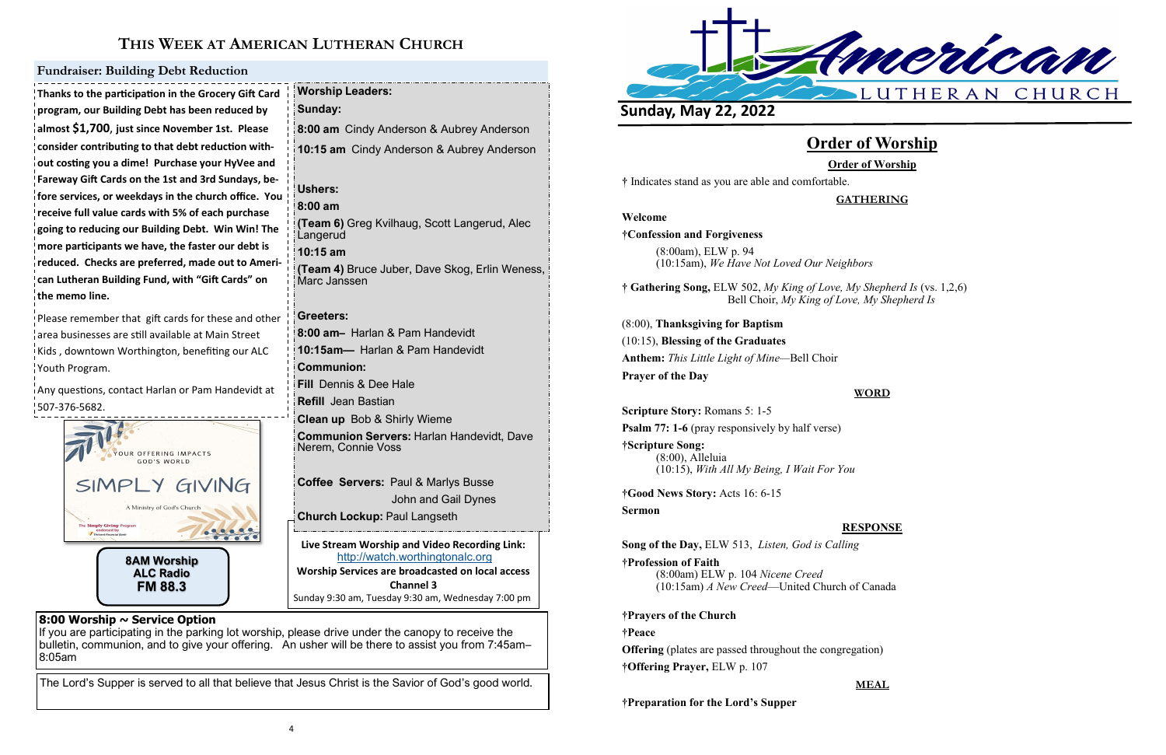

# **THIS WEEK AT AMERICAN LUTHERAN CHURCH**

Sunday 9:30 am, Tuesday 9:30 am, Wednesday 7:00 pm

# **8:00 Worship ~ Service Option**

If you are participating in the parking lot worship, please drive under the canopy to receive the bulletin, communion, and to give your offering. An usher will be there to assist you from 7:45am– 8:05am

The Lord's Supper is served to all that believe that Jesus Christ is the Savior of God's good world.

Please remember that gift cards for these and other area businesses are still available at Main Street Kids , downtown Worthington, benefiting our ALC Youth Program.

**Thanks to the participation in the Grocery Gift Card program, our Building Debt has been reduced by almost \$1,700**, **just since November 1st. Please consider contributing to that debt reduction without costing you a dime! Purchase your HyVee and Fareway Gift Cards on the 1st and 3rd Sundays, before services, or weekdays in the church office. You receive full value cards with 5% of each purchase going to reducing our Building Debt. Win Win! The more participants we have, the faster our debt is reduced. Checks are preferred, made out to American Lutheran Building Fund, with "Gift Cards" on the memo line.**

**Live Stream Worship and Video Recording Link:**  <http://watch.worthingtonalc.org> **Worship Services are broadcasted on local access Channel 3 Worship Leaders: Sunday: 8:00 am** Cindy Anderson & Aubrey Anderson **10:15 am** Cindy Anderson & Aubrey Anderson **Ushers: 8:00 am (Team 6)** Greg Kvilhaug, Scott Langerud, Alec Langerud **10:15 am (Team 4)** Bruce Juber, Dave Skog, Erlin Weness, Marc Janssen **Greeters: 8:00 am–** Harlan & Pam Handevidt **10:15am—** Harlan & Pam Handevidt **Communion: Fill** Dennis & Dee Hale **Refill** Jean Bastian **Clean up** Bob & Shirly Wieme **Communion Servers:** Harlan Handevidt, Dave Nerem, Connie Voss **Coffee Servers:** Paul & Marlys Busse John and Gail Dynes **Church Lockup:** Paul Langseth

Any questions, contact Harlan or Pam Handevidt at 507-376-5682.

### **Fundraiser: Building Debt Reduction**



# **Order of Worship Order of Worship**

**†** Indicates stand as you are able and comfortable.

# **GATHERING**

### **Welcome**

**†Confession and Forgiveness**

(8:00am), ELW p. 94 (10:15am), *We Have Not Loved Our Neighbors*

**† Gathering Song,** ELW 502, *My King of Love, My Shepherd Is* (vs. 1,2,6) Bell Choir, *My King of Love, My Shepherd Is*

(8:00), **Thanksgiving for Baptism** (10:15), **Blessing of the Graduates Anthem:** *This Little Light of Mine—*Bell Choir **Prayer of the Day**

# **WORD**

**Scripture Story:** Romans 5: 1-5

**Psalm 77: 1-6** (pray responsively by half verse)

**†Scripture Song:** (8:00), Alleluia (10:15), *With All My Being, I Wait For You*

**†Good News Story:** Acts 16: 6-15 **Sermon**

## **RESPONSE**

**Song of the Day,** ELW 513, *Listen, God is Calling*

**†Profession of Faith**  (8:00am) ELW p. 104 *Nicene Creed* (10:15am) *A New Creed*—United Church of Canada

**†Prayers of the Church**

#### **†Peace**

**Offering** (plates are passed throughout the congregation) **†Offering Prayer,** ELW p. 107

**MEAL**

**†Preparation for the Lord's Supper**